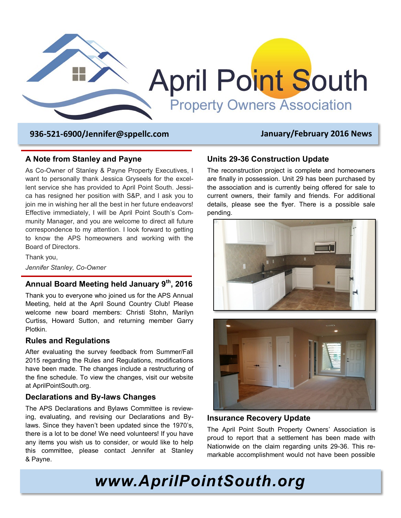

 **936-521-6900/Jennifer@sppellc.com January/February 2016 News**

#### **A Note from Stanley and Payne**

As Co-Owner of Stanley & Payne Property Executives, I want to personally thank Jessica Gryseels for the excellent service she has provided to April Point South. Jessica has resigned her position with S&P, and I ask you to join me in wishing her all the best in her future endeavors! Effective immediately, I will be April Point South's Community Manager, and you are welcome to direct all future correspondence to my attention. I look forward to getting to know the APS homeowners and working with the Board of Directors.

Thank you, *Jennifer Stanley, Co-Owner*

## **Annual Board Meeting held January 9th, 2016**

Thank you to everyone who joined us for the APS Annual Meeting, held at the April Sound Country Club! Please welcome new board members: Christi Stohn, Marilyn Curtiss, Howard Sutton, and returning member Garry Plotkin.

#### **Rules and Regulations**

After evaluating the survey feedback from Summer/Fall 2015 regarding the Rules and Regulations, modifications have been made. The changes include a restructuring of the fine schedule. To view the changes, visit our website at AprilPointSouth.org.

#### **Declarations and By-laws Changes**

The APS Declarations and Bylaws Committee is reviewing, evaluating, and revising our Declarations and Bylaws. Since they haven't been updated since the 1970's, there is a lot to be done! We need volunteers! If you have any items you wish us to consider, or would like to help this committee, please contact Jennifer at Stanley & Payne.

#### **Units 29-36 Construction Update**

The reconstruction project is complete and homeowners are finally in possession. Unit 29 has been purchased by the association and is currently being offered for sale to current owners, their family and friends. For additional details, please see the flyer. There is a possible sale pending.





#### **Insurance Recovery Update**

The April Point South Property Owners' Association is proud to report that a settlement has been made with Nationwide on the claim regarding units 29-36. This remarkable accomplishment would not have been possible

*www.AprilPointSouth.org*